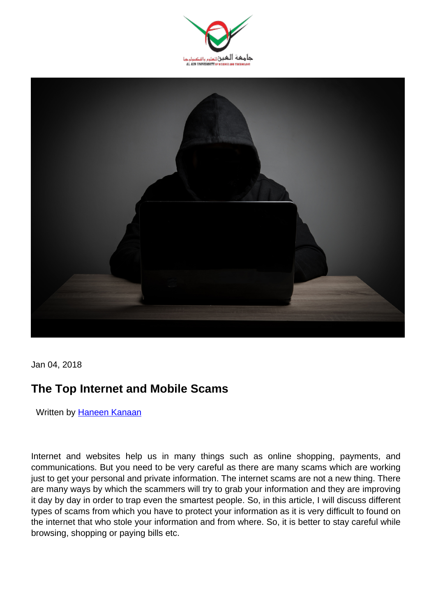



Jan 04, 2018

# **The Top Internet and Mobile Scams**

Written by [Haneen Kanaan](https://aau.ac.ae/en/staff/haneen-kanaan)

Internet and websites help us in many things such as online shopping, payments, and communications. But you need to be very careful as there are many scams which are working just to get your personal and private information. The internet scams are not a new thing. There are many ways by which the scammers will try to grab your information and they are improving it day by day in order to trap even the smartest people. So, in this article, I will discuss different types of scams from which you have to protect your information as it is very difficult to found on the internet that who stole your information and from where. So, it is better to stay careful while browsing, shopping or paying bills etc.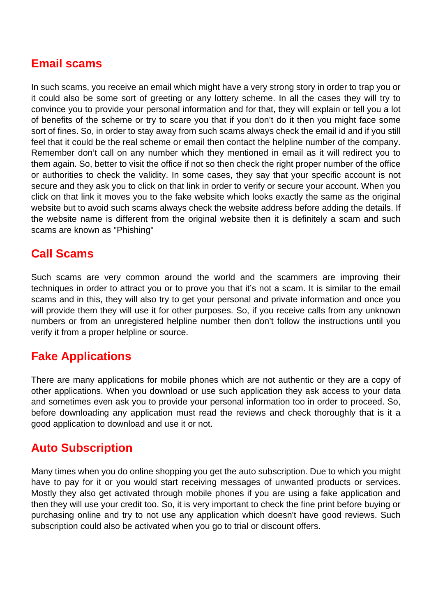# **Email scams**

In such scams, you receive an email which might have a very strong story in order to trap you or it could also be some sort of greeting or any lottery scheme. In all the cases they will try to convince you to provide your personal information and for that, they will explain or tell you a lot of benefits of the scheme or try to scare you that if you don't do it then you might face some sort of fines. So, in order to stay away from such scams always check the email id and if you still feel that it could be the real scheme or email then contact the helpline number of the company. Remember don't call on any number which they mentioned in email as it will redirect you to them again. So, better to visit the office if not so then check the right proper number of the office or authorities to check the validity. In some cases, they say that your specific account is not secure and they ask you to click on that link in order to verify or secure your account. When you click on that link it moves you to the fake website which looks exactly the same as the original website but to avoid such scams always check the website address before adding the details. If the website name is different from the original website then it is definitely a scam and such scams are known as "Phishing"

# **Call Scams**

Such scams are very common around the world and the scammers are improving their techniques in order to attract you or to prove you that it's not a scam. It is similar to the email scams and in this, they will also try to get your personal and private information and once you will provide them they will use it for other purposes. So, if you receive calls from any unknown numbers or from an unregistered helpline number then don't follow the instructions until you verify it from a proper helpline or source.

# **Fake Applications**

There are many applications for mobile phones which are not authentic or they are a copy of other applications. When you download or use such application they ask access to your data and sometimes even ask you to provide your personal information too in order to proceed. So, before downloading any application must read the reviews and check thoroughly that is it a good application to download and use it or not.

# **Auto Subscription**

Many times when you do online shopping you get the auto subscription. Due to which you might have to pay for it or you would start receiving messages of unwanted products or services. Mostly they also get activated through mobile phones if you are using a fake application and then they will use your credit too. So, it is very important to check the fine print before buying or purchasing online and try to not use any application which doesn't have good reviews. Such subscription could also be activated when you go to trial or discount offers.